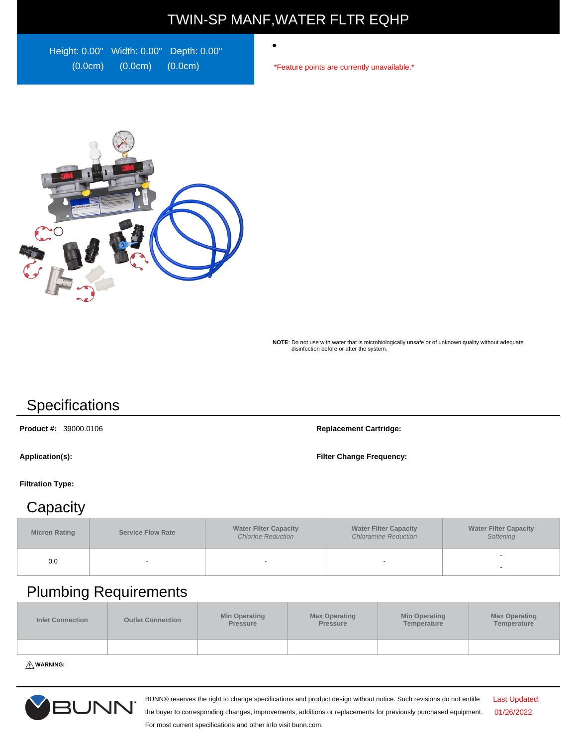# TWIN-SP MANF,WATER FLTR EQHP

 $\bullet$ 

Height: 0.00" Width: 0.00" Depth: 0.00" (0.0cm) (0.0cm) (0.0cm)

\*Feature points are currently unavailable.\*



**NOTE**: Do not use with water that is microbiologically unsafe or of unknown quality without adequate disinfection before or after the system.

# **Specifications**

**Product #:** 39000.0106 **Replacement Cartridge:**

**Application(s): Filter Change Frequency:**

#### **Filtration Type:**

#### **Capacity**

| <b>Micron Rating</b> | <b>Service Flow Rate</b> | <b>Water Filter Capacity</b><br><b>Chlorine Reduction</b> | <b>Water Filter Capacity</b><br><b>Chloramine Reduction</b> | <b>Water Filter Capacity</b><br>Softening |
|----------------------|--------------------------|-----------------------------------------------------------|-------------------------------------------------------------|-------------------------------------------|
| 0.0                  |                          | -                                                         |                                                             |                                           |

### Plumbing Requirements

| <b>Inlet Connection</b> | <b>Outlet Connection</b> | <b>Min Operating</b><br>Pressure | <b>Max Operating</b><br>Pressure | <b>Min Operating</b><br>Temperature | <b>Max Operating</b><br>Temperature |
|-------------------------|--------------------------|----------------------------------|----------------------------------|-------------------------------------|-------------------------------------|
|                         |                          |                                  |                                  |                                     |                                     |

**WARNING:**



BUNN® reserves the right to change specifications and product design without notice. Such revisions do not entitle

Last Updated: 01/26/2022

the buyer to corresponding changes, improvements, additions or replacements for previously purchased equipment. For most current specifications and other info visit bunn.com.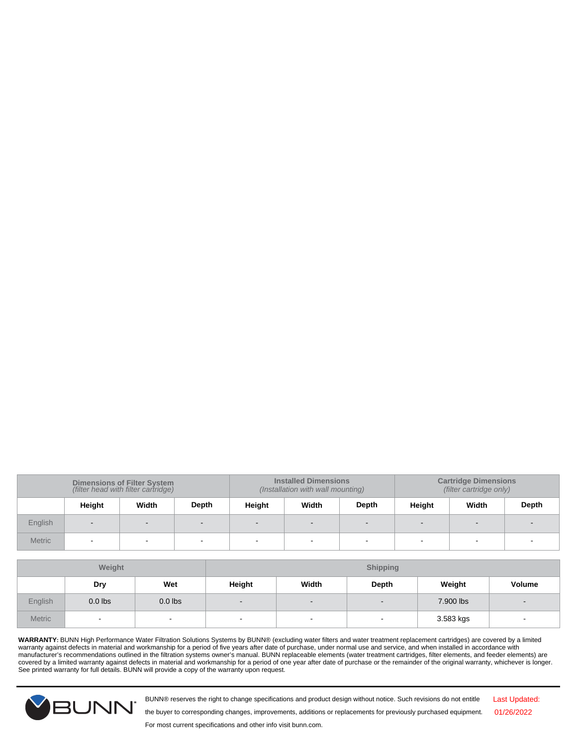| <b>Dimensions of Filter System</b><br>(filter head with filter cartridge) |        |       |       |        | <b>Installed Dimensions</b><br><b>Cartridge Dimensions</b><br>(filter cartridge only)<br>(Installation with wall mounting) |       |        |       |       |
|---------------------------------------------------------------------------|--------|-------|-------|--------|----------------------------------------------------------------------------------------------------------------------------|-------|--------|-------|-------|
|                                                                           | Height | Width | Depth | Height | Width                                                                                                                      | Depth | Height | Width | Depth |
| English                                                                   | $\sim$ |       |       | $\sim$ | $\sim$                                                                                                                     |       |        |       |       |
| <b>Metric</b>                                                             |        |       |       | -      |                                                                                                                            |       |        | -     |       |

| Weight        |           |                | <b>Shipping</b>          |        |                          |           |                          |
|---------------|-----------|----------------|--------------------------|--------|--------------------------|-----------|--------------------------|
|               | Dry       | Wet            | Height                   | Width  | Depth                    | Weight    | Volume                   |
| English       | $0.0$ lbs | $0.0$ lbs      | $\overline{\phantom{a}}$ | $\sim$ | $\overline{\phantom{0}}$ | 7.900 lbs | $\overline{\phantom{a}}$ |
| <b>Metric</b> | $\sim$    | $\blacksquare$ |                          | $\sim$ | $\overline{\phantom{0}}$ | 3.583 kgs |                          |

WARRANTY: BUNN High Performance Water Filtration Solutions Systems by BUNN® (excluding water filters and water treatment replacement cartridges) are covered by a limited<br>manufacturer's recommendations outlined in the filt See printed warranty for full details. BUNN will provide a copy of the warranty upon request.



BUNN® reserves the right to change specifications and product design without notice. Such revisions do not entitle

Last Updated: 01/26/2022

the buyer to corresponding changes, improvements, additions or replacements for previously purchased equipment.

For most current specifications and other info visit bunn.com.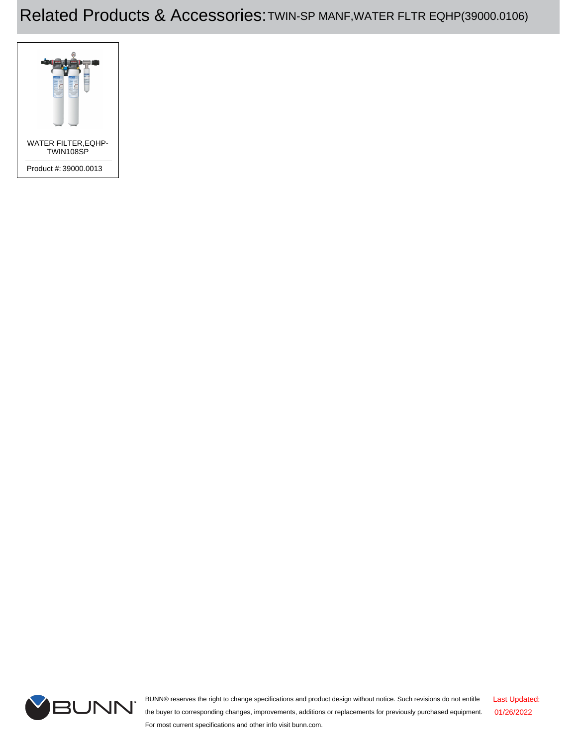# Related Products & Accessories:TWIN-SP MANF,WATER FLTR EQHP(39000.0106)





BUNN® reserves the right to change specifications and product design without notice. Such revisions do not entitle the buyer to corresponding changes, improvements, additions or replacements for previously purchased equipment. For most current specifications and other info visit bunn.com. Last Updated: 01/26/2022